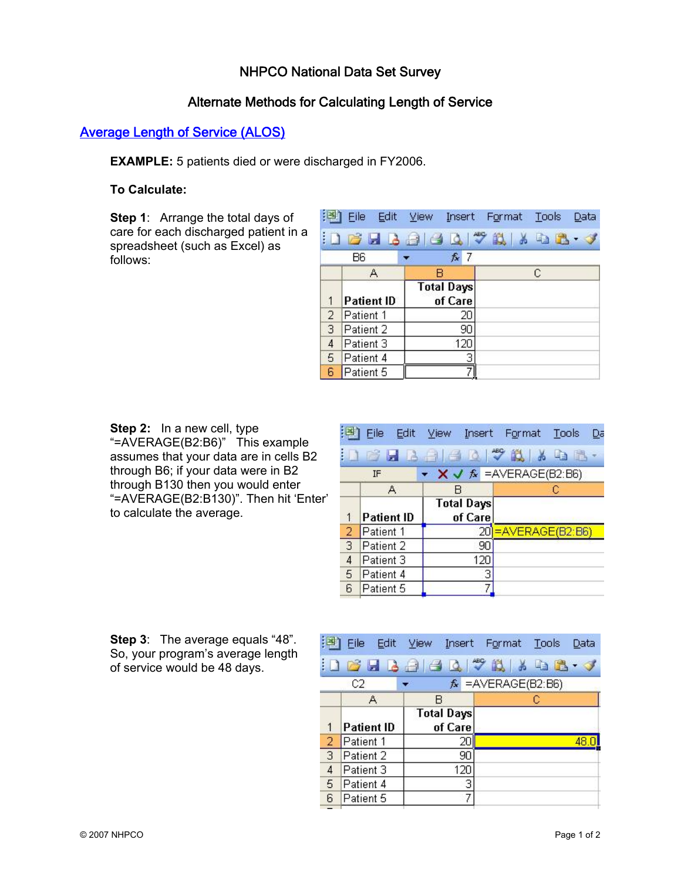### NHPCO National Data Set Survey

### Alternate Methods for Calculating Length of Service

# Average Length of Service (ALOS)

**EXAMPLE:** 5 patients died or were discharged in FY2006.

#### **To Calculate:**

**Step 1**: Arrange the total days of care for each discharged patient in a spreadsheet (such as Excel) as follows:

| [国]            | Eile<br>Edit      | View<br>Insert               | Format | Tools | Data |
|----------------|-------------------|------------------------------|--------|-------|------|
|                |                   | :DB                          |        |       |      |
|                | <b>B6</b>         | $f_x$ 7                      |        |       |      |
|                | Α                 | в                            |        | С     |      |
| 1              | <b>Patient ID</b> | <b>Total Days</b><br>of Care |        |       |      |
| $\overline{2}$ | Patient 1         | 20                           |        |       |      |
| 3              | Patient 2         | 90                           |        |       |      |
| 4              | Patient 3         | 120                          |        |       |      |
| 5              | Patient 4         | 3                            |        |       |      |
| 6              | Patient 5         |                              |        |       |      |

**Step 2:** In a new cell, type "=AVERAGE(B2:B6)" This example assumes that your data are in cells B2 through B6; if your data were in B2 through B130 then you would enter "=AVERAGE(B2:B130)". Then hit 'Enter' to calculate the average.

|                | 图 File Edit       | View Insert Format Tools                          |                     | Da |  |
|----------------|-------------------|---------------------------------------------------|---------------------|----|--|
|                |                   | <b>ID B B A B B V B K &amp; B</b>                 |                     |    |  |
|                | <b>IF</b>         | $\star$ <b>X J</b> $f_{\lambda}$ = AVERAGE(B2:B6) |                     |    |  |
|                | Α                 | R                                                 |                     | С  |  |
| 1              | <b>Patient ID</b> | <b>Total Days</b><br>of Care                      |                     |    |  |
|                |                   |                                                   |                     |    |  |
| $\overline{2}$ | Patient 1         |                                                   | 20 = AVERAGE(B2:B6) |    |  |
| $\overline{3}$ | Patient 2         | 90                                                |                     |    |  |
| 4              | Patient 3         | 120                                               |                     |    |  |
| 5              | Patient 4         | 3                                                 |                     |    |  |

**Step 3**: The average equals "48". So, your program's average length of service would be 48 days.

|                |                   |                              | that File Folic Alem Tuseur Foluwer Tools:<br>Data |
|----------------|-------------------|------------------------------|----------------------------------------------------|
|                |                   |                              | : D & H B & B Q + \$ \$ 1 & B + 3                  |
|                | C <sub>2</sub>    |                              | $f_x$ = AVERAGE(B2:B6)                             |
|                | Α                 | в                            | С                                                  |
|                | <b>Patient ID</b> | <b>Total Days</b><br>of Care |                                                    |
| $\overline{2}$ | Patient 1         | 20                           |                                                    |
| $\overline{3}$ | Patient 2         | 90                           |                                                    |
| $\overline{4}$ | Patient 3         | 120                          |                                                    |
| 5              | Patient 4         | 3                            |                                                    |
| 6              | Patient 5         |                              |                                                    |
|                |                   |                              |                                                    |

 $1638 - 4$   $-10$   $-10$   $-10$ 

and the state of the state